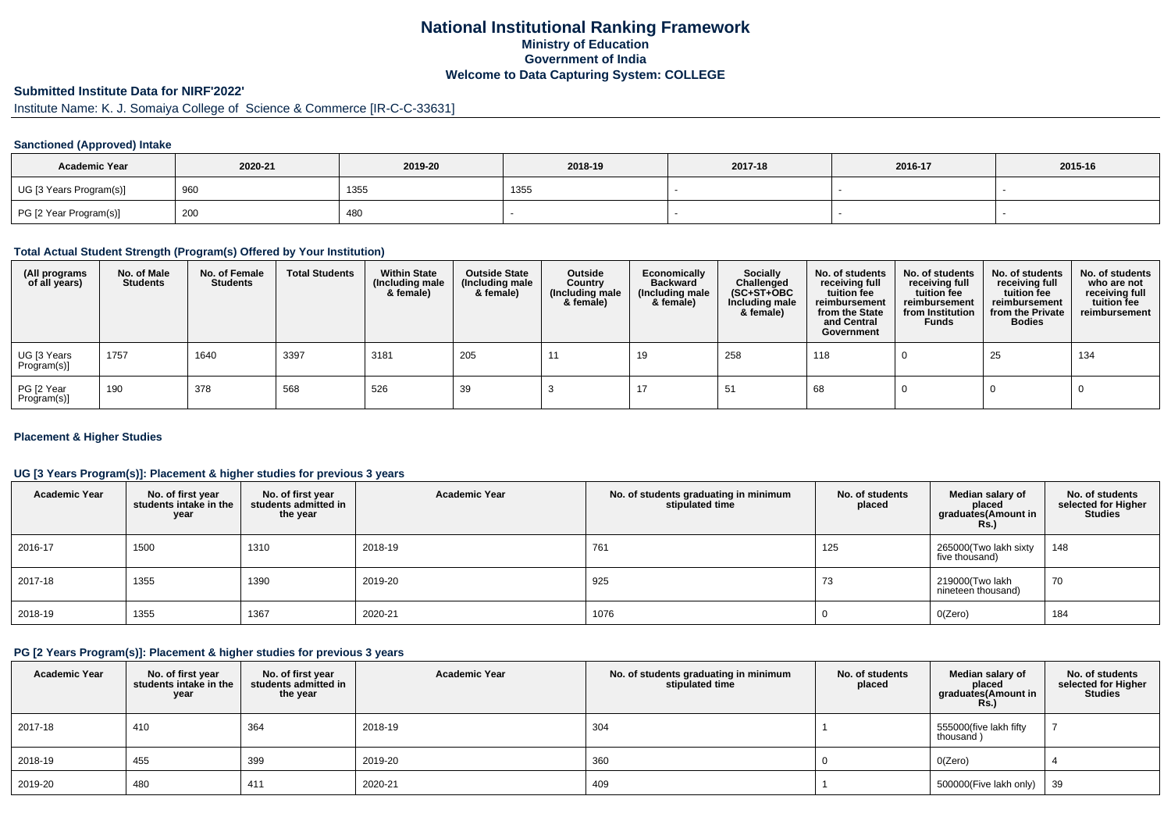## **National Institutional Ranking FrameworkMinistry of Education Government of IndiaWelcome to Data Capturing System: COLLEGE**

## **Submitted Institute Data for NIRF'2022'**

# Institute Name: K. J. Somaiya College of Science & Commerce [IR-C-C-33631]

#### **Sanctioned (Approved) Intake**

| <b>Academic Year</b>    | 2020-21 | 2019-20 | 2018-19 | 2017-18 | 2016-17 | 2015-16 |
|-------------------------|---------|---------|---------|---------|---------|---------|
| UG [3 Years Program(s)] | 960     | 1355    | 1355    |         |         |         |
| PG [2 Year Program(s)]  | 200     | 480     |         |         |         |         |

#### **Total Actual Student Strength (Program(s) Offered by Your Institution)**

| (All programs<br>of all years) | No. of Male<br><b>Students</b> | No. of Female<br><b>Students</b> | <b>Total Students</b> | <b>Within State</b><br>(Including male<br>& female) | <b>Outside State</b><br>(Including male<br>& female) | Outside<br>Country<br>(Including male<br>& female) | Economically<br><b>Backward</b><br>(Including male<br>& female) | <b>Socially</b><br>Challenged<br>$(SC+ST+OBC)$<br>Including male<br>& female) | No. of students<br>receiving full<br>tuition fee<br>reimbursement<br>from the State<br>and Central<br>Government | No. of students<br>receiving full<br>tuition fee<br>reimbursement<br>from Institution<br><b>Funds</b> | No. of students<br>receiving full<br>tuition fee<br>reimbursement<br>from the Private<br><b>Bodies</b> | No. of students<br>who are not<br>receiving full<br>tuition fee<br>reimbursement |
|--------------------------------|--------------------------------|----------------------------------|-----------------------|-----------------------------------------------------|------------------------------------------------------|----------------------------------------------------|-----------------------------------------------------------------|-------------------------------------------------------------------------------|------------------------------------------------------------------------------------------------------------------|-------------------------------------------------------------------------------------------------------|--------------------------------------------------------------------------------------------------------|----------------------------------------------------------------------------------|
| UG [3 Years<br>Program(s)]     | 1757                           | 1640                             | 3397                  | 3181                                                | 205                                                  | -11                                                | 19                                                              | 258                                                                           | 118                                                                                                              |                                                                                                       | 25                                                                                                     | 134                                                                              |
| PG [2 Year<br>Program(s)]      | 190                            | 378                              | 568                   | 526                                                 | -39                                                  |                                                    |                                                                 | -51                                                                           | 68                                                                                                               |                                                                                                       |                                                                                                        |                                                                                  |

#### **Placement & Higher Studies**

#### **UG [3 Years Program(s)]: Placement & higher studies for previous 3 years**

| <b>Academic Year</b> | No. of first year<br>students intake in the<br>year | No. of first year<br>students admitted in<br>the year | <b>Academic Year</b> | No. of students graduating in minimum<br>stipulated time | No. of students<br>placed | Median salary of<br>placed<br>graduates(Amount in<br>Rs. | No. of students<br>selected for Higher<br><b>Studies</b> |
|----------------------|-----------------------------------------------------|-------------------------------------------------------|----------------------|----------------------------------------------------------|---------------------------|----------------------------------------------------------|----------------------------------------------------------|
| 2016-17              | 1500                                                | 1310                                                  | 2018-19              | 761                                                      | 125                       | 265000(Two lakh sixty<br>five thousand)                  | 148                                                      |
| 2017-18              | 1355                                                | 1390                                                  | 2019-20              | 925                                                      | 73                        | 219000(Two lakh<br>nineteen thousand)                    | 70                                                       |
| 2018-19              | 1355                                                | 1367                                                  | 2020-21              | 1076                                                     |                           | O(Zero)                                                  | 184                                                      |

#### **PG [2 Years Program(s)]: Placement & higher studies for previous 3 years**

| <b>Academic Year</b> | No. of first year<br>students intake in the<br>year | No. of first vear<br>students admitted in<br>the year | <b>Academic Year</b> | No. of students graduating in minimum<br>stipulated time | No. of students<br>placed | Median salary of<br>placed<br>graduates(Amount in<br><b>Rs.)</b> | No. of students<br>selected for Higher<br><b>Studies</b> |
|----------------------|-----------------------------------------------------|-------------------------------------------------------|----------------------|----------------------------------------------------------|---------------------------|------------------------------------------------------------------|----------------------------------------------------------|
| 2017-18              | 410                                                 | 364                                                   | 2018-19              | 304                                                      |                           | 555000(five lakh fifty<br>thousand)                              |                                                          |
| 2018-19              | 455                                                 | 399                                                   | 2019-20              | 360                                                      |                           | O(Zero)                                                          |                                                          |
| 2019-20              | 480                                                 | 411                                                   | 2020-21              | 409                                                      |                           | 500000(Five lakh only)                                           | 39                                                       |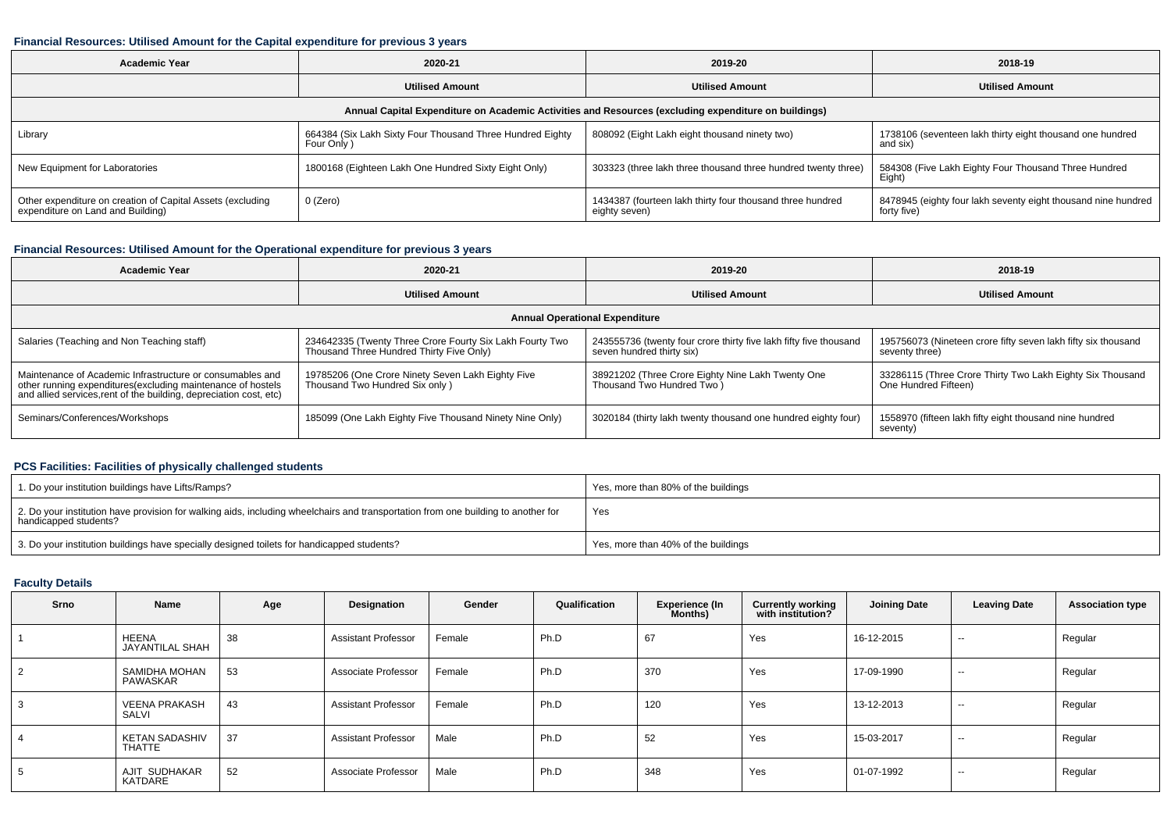#### **Financial Resources: Utilised Amount for the Capital expenditure for previous 3 years**

| <b>Academic Year</b>                                                                            | 2020-21                                                                 | 2019-20                                                                                              | 2018-19                                                                      |  |  |
|-------------------------------------------------------------------------------------------------|-------------------------------------------------------------------------|------------------------------------------------------------------------------------------------------|------------------------------------------------------------------------------|--|--|
|                                                                                                 | <b>Utilised Amount</b>                                                  | <b>Utilised Amount</b>                                                                               | <b>Utilised Amount</b>                                                       |  |  |
|                                                                                                 |                                                                         | Annual Capital Expenditure on Academic Activities and Resources (excluding expenditure on buildings) |                                                                              |  |  |
| Library                                                                                         | 664384 (Six Lakh Sixty Four Thousand Three Hundred Eighty<br>Four Only) | 808092 (Eight Lakh eight thousand ninety two)                                                        | 1738106 (seventeen lakh thirty eight thousand one hundred<br>and six)        |  |  |
| New Equipment for Laboratories                                                                  | 1800168 (Eighteen Lakh One Hundred Sixty Eight Only)                    | 303323 (three lakh three thousand three hundred twenty three)                                        | 584308 (Five Lakh Eighty Four Thousand Three Hundred<br>Eight)               |  |  |
| Other expenditure on creation of Capital Assets (excluding<br>expenditure on Land and Building) | 0 (Zero)                                                                | 1434387 (fourteen lakh thirty four thousand three hundred<br>eighty seven)                           | 8478945 (eighty four lakh seventy eight thousand nine hundred<br>forty five) |  |  |

## **Financial Resources: Utilised Amount for the Operational expenditure for previous 3 years**

| <b>Academic Year</b>                                                                                                                                                                            | 2020-21                                                                                              | 2019-20                                                                                        | 2018-19                                                                           |
|-------------------------------------------------------------------------------------------------------------------------------------------------------------------------------------------------|------------------------------------------------------------------------------------------------------|------------------------------------------------------------------------------------------------|-----------------------------------------------------------------------------------|
|                                                                                                                                                                                                 | <b>Utilised Amount</b>                                                                               | <b>Utilised Amount</b>                                                                         | <b>Utilised Amount</b>                                                            |
|                                                                                                                                                                                                 |                                                                                                      | <b>Annual Operational Expenditure</b>                                                          |                                                                                   |
| Salaries (Teaching and Non Teaching staff)                                                                                                                                                      | 234642335 (Twenty Three Crore Fourty Six Lakh Fourty Two<br>Thousand Three Hundred Thirty Five Only) | 243555736 (twenty four crore thirty five lakh fifty five thousand<br>seven hundred thirty six) | 195756073 (Nineteen crore fifty seven lakh fifty six thousand<br>seventy three)   |
| Maintenance of Academic Infrastructure or consumables and<br>other running expenditures (excluding maintenance of hostels<br>and allied services, rent of the building, depreciation cost, etc) | 19785206 (One Crore Ninety Seven Lakh Eighty Five<br>Thousand Two Hundred Six only)                  | 38921202 (Three Crore Eighty Nine Lakh Twenty One<br>Thousand Two Hundred Two)                 | 33286115 (Three Crore Thirty Two Lakh Eighty Six Thousand<br>One Hundred Fifteen) |
| Seminars/Conferences/Workshops                                                                                                                                                                  | 185099 (One Lakh Eighty Five Thousand Ninety Nine Only)                                              | 3020184 (thirty lakh twenty thousand one hundred eighty four)                                  | 1558970 (fifteen lakh fifty eight thousand nine hundred<br>seventy)               |

### **PCS Facilities: Facilities of physically challenged students**

| 1. Do your institution buildings have Lifts/Ramps?                                                                                                         | Yes, more than 80% of the buildings |
|------------------------------------------------------------------------------------------------------------------------------------------------------------|-------------------------------------|
| 2. Do your institution have provision for walking aids, including wheelchairs and transportation from one building to another for<br>handicapped students? | Yes                                 |
| 3. Do your institution buildings have specially designed toilets for handicapped students?                                                                 | Yes, more than 40% of the buildings |

## **Faculty Details**

| Srno | Name                            | Age | Designation                | Gender | Qualification | Experience (In<br>Months) | <b>Currently working</b><br>with institution? | <b>Joining Date</b> | <b>Leaving Date</b> | <b>Association type</b> |
|------|---------------------------------|-----|----------------------------|--------|---------------|---------------------------|-----------------------------------------------|---------------------|---------------------|-------------------------|
|      | HEENA<br>JAYANTILAL SHAH        | 38  | <b>Assistant Professor</b> | Female | Ph.D          | 67                        | Yes                                           | 16-12-2015          | $\sim$              | Regular                 |
| 2    | SAMIDHA MOHAN<br>PAWASKAR       | 53  | Associate Professor        | Female | Ph.D          | 370                       | Yes                                           | 17-09-1990          | $- -$               | Regular                 |
| 3    | <b>VEENA PRAKASH</b><br>SALVI   | 43  | <b>Assistant Professor</b> | Female | Ph.D          | 120                       | Yes                                           | 13-12-2013          | $\sim$              | Regular                 |
|      | <b>KETAN SADASHIV</b><br>THATTE | 37  | <b>Assistant Professor</b> | Male   | Ph.D          | 52                        | Yes                                           | 15-03-2017          | $\sim$              | Regular                 |
| 5    | AJIT SUDHAKAR<br>KATDARE        | 52  | Associate Professor        | Male   | Ph.D          | 348                       | Yes                                           | 01-07-1992          | $\sim$              | Regular                 |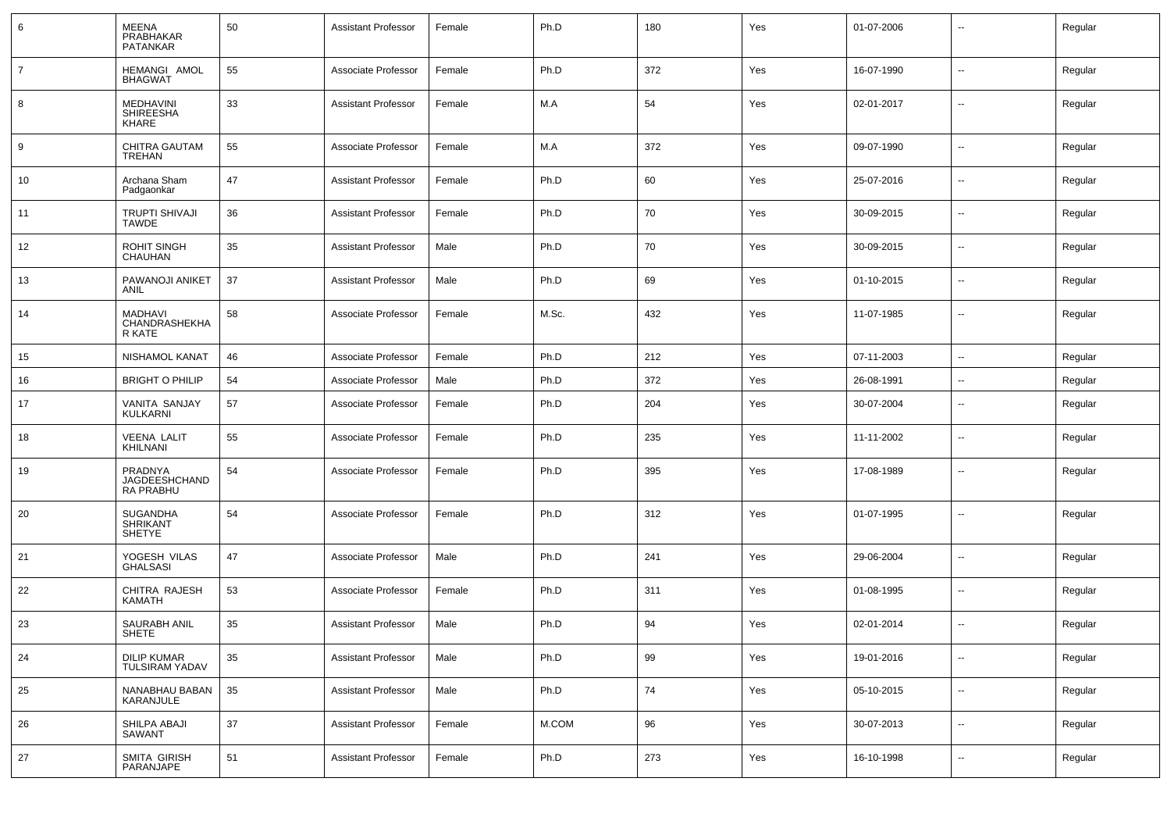| 6              | MEENA<br>PRABHAKAR<br><b>PATANKAR</b>        | 50 | <b>Assistant Professor</b> | Female | Ph.D  | 180 | Yes | 01-07-2006 |                          | Regular |
|----------------|----------------------------------------------|----|----------------------------|--------|-------|-----|-----|------------|--------------------------|---------|
| $\overline{7}$ | HEMANGI AMOL<br><b>BHAGWAT</b>               | 55 | Associate Professor        | Female | Ph.D  | 372 | Yes | 16-07-1990 | ⊷.                       | Regular |
| 8              | MEDHAVINI<br><b>SHIREESHA</b><br>KHARE       | 33 | <b>Assistant Professor</b> | Female | M.A   | 54  | Yes | 02-01-2017 | $\overline{\phantom{a}}$ | Regular |
| 9              | CHITRA GAUTAM<br><b>TREHAN</b>               | 55 | Associate Professor        | Female | M.A   | 372 | Yes | 09-07-1990 | ⊷.                       | Regular |
| 10             | Archana Sham<br>Padgaonkar                   | 47 | <b>Assistant Professor</b> | Female | Ph.D  | 60  | Yes | 25-07-2016 | ⊷.                       | Regular |
| 11             | <b>TRUPTI SHIVAJI</b><br><b>TAWDE</b>        | 36 | <b>Assistant Professor</b> | Female | Ph.D  | 70  | Yes | 30-09-2015 | $\overline{\phantom{a}}$ | Regular |
| 12             | <b>ROHIT SINGH</b><br>CHAUHAN                | 35 | <b>Assistant Professor</b> | Male   | Ph.D  | 70  | Yes | 30-09-2015 | $\overline{\phantom{a}}$ | Regular |
| 13             | PAWANOJI ANIKET<br>ANIL                      | 37 | <b>Assistant Professor</b> | Male   | Ph.D  | 69  | Yes | 01-10-2015 | ⊷.                       | Regular |
| 14             | <b>MADHAVI</b><br>CHANDRASHEKHA<br>R KATE    | 58 | Associate Professor        | Female | M.Sc. | 432 | Yes | 11-07-1985 | $\overline{\phantom{a}}$ | Regular |
| 15             | <b>NISHAMOL KANAT</b>                        | 46 | Associate Professor        | Female | Ph.D  | 212 | Yes | 07-11-2003 | $\overline{a}$           | Regular |
| 16             | <b>BRIGHT O PHILIP</b>                       | 54 | Associate Professor        | Male   | Ph.D  | 372 | Yes | 26-08-1991 | $\overline{\phantom{a}}$ | Regular |
| 17             | VANITA SANJAY<br><b>KULKARNI</b>             | 57 | Associate Professor        | Female | Ph.D  | 204 | Yes | 30-07-2004 | $\overline{\phantom{a}}$ | Regular |
| 18             | <b>VEENA LALIT</b><br>KHILNANI               | 55 | Associate Professor        | Female | Ph.D  | 235 | Yes | 11-11-2002 | −−                       | Regular |
| 19             | PRADNYA<br>JAGDEESHCHAND<br><b>RA PRABHU</b> | 54 | Associate Professor        | Female | Ph.D  | 395 | Yes | 17-08-1989 | $\overline{\phantom{a}}$ | Regular |
| 20             | <b>SUGANDHA</b><br><b>SHRIKANT</b><br>SHETYE | 54 | Associate Professor        | Female | Ph.D  | 312 | Yes | 01-07-1995 | $\overline{\phantom{a}}$ | Regular |
| 21             | YOGESH VILAS<br><b>GHALSASI</b>              | 47 | Associate Professor        | Male   | Ph.D  | 241 | Yes | 29-06-2004 | --                       | Regular |
| 22             | CHITRA RAJESH<br>KAMATH                      | 53 | Associate Professor        | Female | Ph.D  | 311 | Yes | 01-08-1995 | ⊷.                       | Regular |
| 23             | SAURABH ANIL<br>SHETE                        | 35 | <b>Assistant Professor</b> | Male   | Ph.D  | 94  | Yes | 02-01-2014 | $\overline{\phantom{a}}$ | Regular |
| 24             | <b>DILIP KUMAR</b><br>TULSIRAM YADAV         | 35 | <b>Assistant Professor</b> | Male   | Ph.D  | 99  | Yes | 19-01-2016 | Ξ.                       | Regular |
| 25             | NANABHAU BABAN<br>KARANJULE                  | 35 | <b>Assistant Professor</b> | Male   | Ph.D  | 74  | Yes | 05-10-2015 | ц.                       | Regular |
| 26             | SHILPA ABAJI<br>SAWANT                       | 37 | <b>Assistant Professor</b> | Female | M.COM | 96  | Yes | 30-07-2013 | ц.                       | Regular |
| 27             | SMITA GIRISH<br>PARANJAPE                    | 51 | <b>Assistant Professor</b> | Female | Ph.D  | 273 | Yes | 16-10-1998 | Щ,                       | Regular |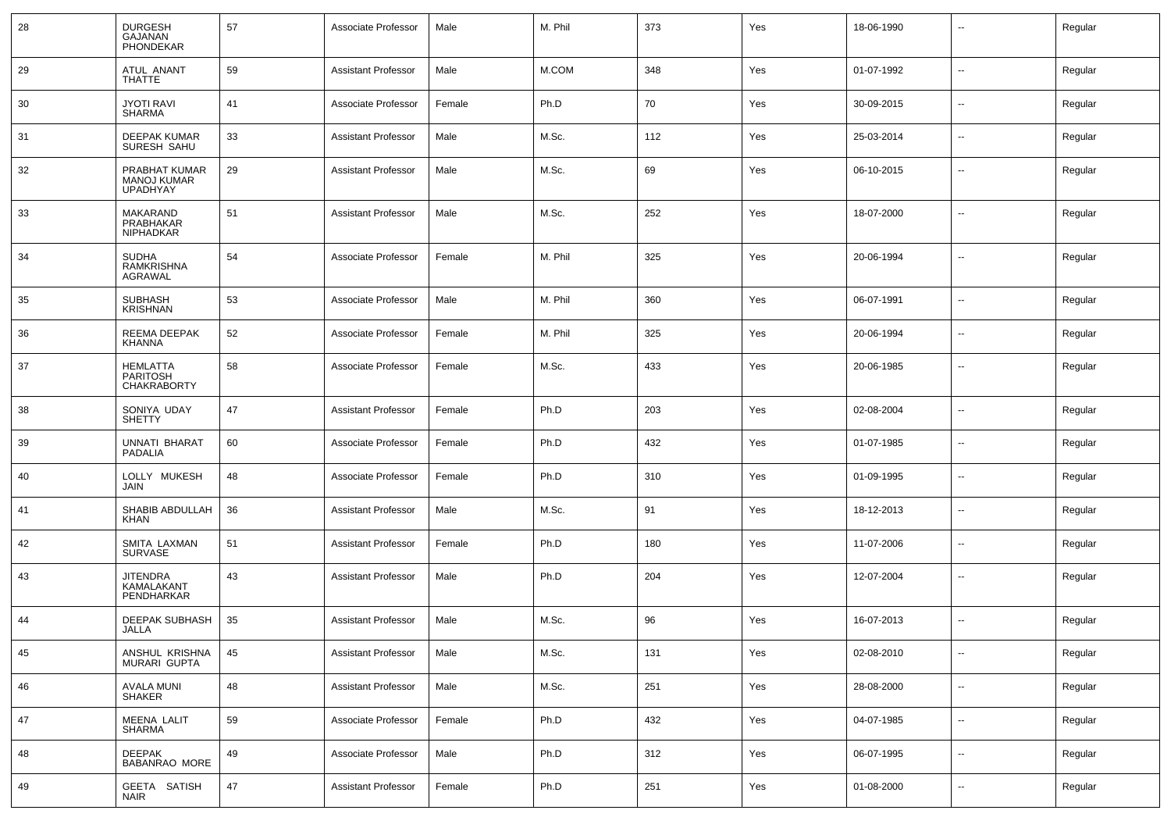| 28 | <b>DURGESH</b><br>GAJANAN<br><b>PHONDEKAR</b>          | 57 | Associate Professor        | Male   | M. Phil | 373 | Yes | 18-06-1990 | $\overline{\phantom{a}}$ | Regular |
|----|--------------------------------------------------------|----|----------------------------|--------|---------|-----|-----|------------|--------------------------|---------|
| 29 | ATUL ANANT<br>THATTE                                   | 59 | Assistant Professor        | Male   | M.COM   | 348 | Yes | 01-07-1992 | $\overline{\phantom{a}}$ | Regular |
| 30 | <b>JYOTI RAVI</b><br>SHARMA                            | 41 | Associate Professor        | Female | Ph.D    | 70  | Yes | 30-09-2015 | $\overline{\phantom{a}}$ | Regular |
| 31 | DEEPAK KUMAR<br>SURESH SAHU                            | 33 | <b>Assistant Professor</b> | Male   | M.Sc.   | 112 | Yes | 25-03-2014 | $\overline{\phantom{a}}$ | Regular |
| 32 | PRABHAT KUMAR<br><b>MANOJ KUMAR</b><br><b>UPADHYAY</b> | 29 | <b>Assistant Professor</b> | Male   | M.Sc.   | 69  | Yes | 06-10-2015 | $\sim$                   | Regular |
| 33 | MAKARAND<br>PRABHAKAR<br>NIPHADKAR                     | 51 | <b>Assistant Professor</b> | Male   | M.Sc.   | 252 | Yes | 18-07-2000 | $\overline{\phantom{a}}$ | Regular |
| 34 | <b>SUDHA</b><br>RAMKRISHNA<br>AGRAWAL                  | 54 | Associate Professor        | Female | M. Phil | 325 | Yes | 20-06-1994 | $\overline{\phantom{a}}$ | Regular |
| 35 | <b>SUBHASH</b><br><b>KRISHNAN</b>                      | 53 | Associate Professor        | Male   | M. Phil | 360 | Yes | 06-07-1991 | $\overline{\phantom{a}}$ | Regular |
| 36 | REEMA DEEPAK<br>KHANNA                                 | 52 | Associate Professor        | Female | M. Phil | 325 | Yes | 20-06-1994 | $\overline{\phantom{a}}$ | Regular |
| 37 | HEMLATTA<br><b>PARITOSH</b><br><b>CHAKRABORTY</b>      | 58 | Associate Professor        | Female | M.Sc.   | 433 | Yes | 20-06-1985 | $\overline{\phantom{a}}$ | Regular |
| 38 | SONIYA UDAY<br><b>SHETTY</b>                           | 47 | <b>Assistant Professor</b> | Female | Ph.D    | 203 | Yes | 02-08-2004 | $\sim$                   | Regular |
| 39 | <b>UNNATI BHARAT</b><br><b>PADALIA</b>                 | 60 | Associate Professor        | Female | Ph.D    | 432 | Yes | 01-07-1985 | $\overline{\phantom{a}}$ | Regular |
| 40 | LOLLY MUKESH<br>JAIN                                   | 48 | Associate Professor        | Female | Ph.D    | 310 | Yes | 01-09-1995 | $\overline{\phantom{a}}$ | Regular |
| 41 | SHABIB ABDULLAH<br><b>KHAN</b>                         | 36 | <b>Assistant Professor</b> | Male   | M.Sc.   | 91  | Yes | 18-12-2013 | $\overline{\phantom{a}}$ | Regular |
| 42 | SMITA LAXMAN<br><b>SURVASE</b>                         | 51 | <b>Assistant Professor</b> | Female | Ph.D    | 180 | Yes | 11-07-2006 | $\sim$                   | Regular |
| 43 | <b>JITENDRA</b><br><b>KAMALAKANT</b><br>PENDHARKAR     | 43 | <b>Assistant Professor</b> | Male   | Ph.D    | 204 | Yes | 12-07-2004 | $\sim$                   | Regular |
| 44 | DEEPAK SUBHASH<br>JALLA                                | 35 | <b>Assistant Professor</b> | Male   | M.Sc.   | 96  | Yes | 16-07-2013 | $\overline{\phantom{a}}$ | Regular |
| 45 | ANSHUL KRISHNA<br>MURARI GUPTA                         | 45 | <b>Assistant Professor</b> | Male   | M.Sc.   | 131 | Yes | 02-08-2010 | $\overline{\phantom{a}}$ | Regular |
| 46 | <b>AVALA MUNI</b><br><b>SHAKER</b>                     | 48 | <b>Assistant Professor</b> | Male   | M.Sc.   | 251 | Yes | 28-08-2000 | $\sim$                   | Regular |
| 47 | MEENA LALIT<br><b>SHARMA</b>                           | 59 | Associate Professor        | Female | Ph.D    | 432 | Yes | 04-07-1985 | $\overline{\phantom{a}}$ | Regular |
| 48 | <b>DEEPAK</b><br><b>BABANRAO MORE</b>                  | 49 | Associate Professor        | Male   | Ph.D    | 312 | Yes | 06-07-1995 | $\sim$                   | Regular |
| 49 | GEETA SATISH<br><b>NAIR</b>                            | 47 | <b>Assistant Professor</b> | Female | Ph.D    | 251 | Yes | 01-08-2000 | $\sim$                   | Regular |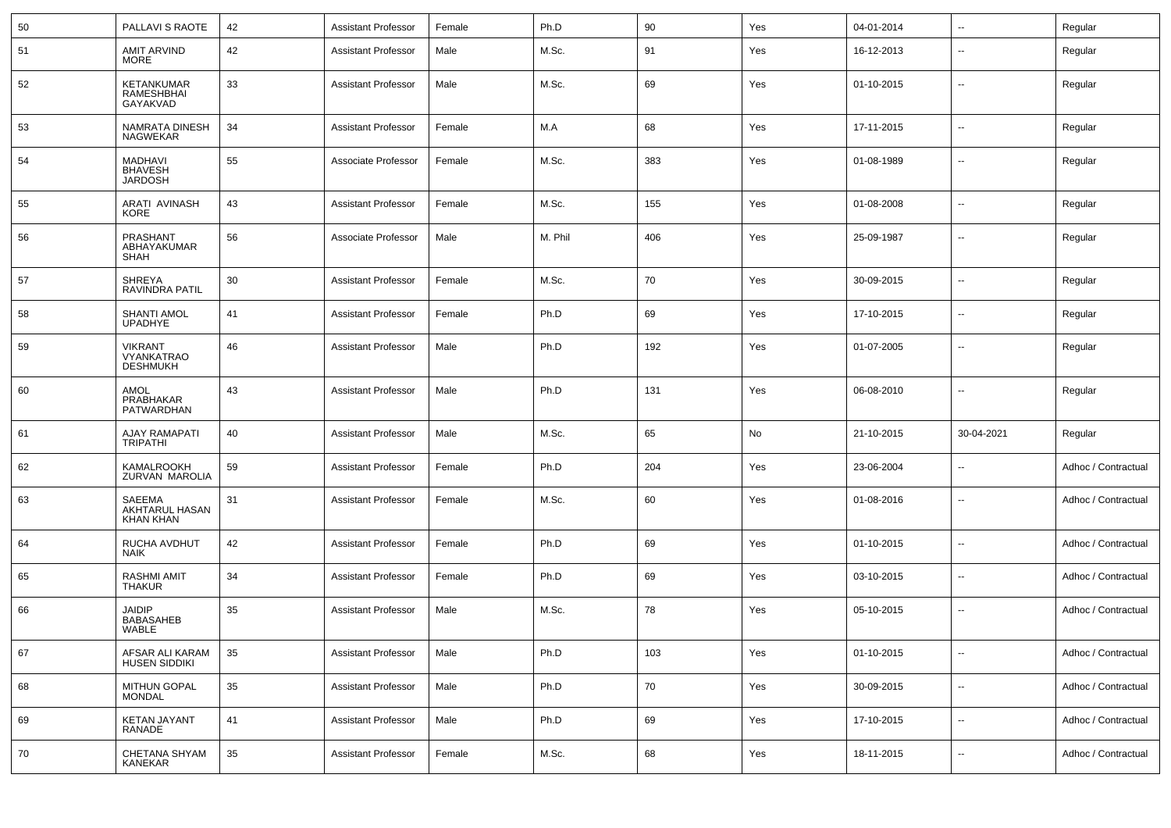| 50 | PALLAVI S RAOTE                                        | 42 | <b>Assistant Professor</b> | Female | Ph.D    | 90  | Yes | 04-01-2014 | $\overline{\phantom{a}}$ | Regular             |
|----|--------------------------------------------------------|----|----------------------------|--------|---------|-----|-----|------------|--------------------------|---------------------|
| 51 | <b>AMIT ARVIND</b><br><b>MORE</b>                      | 42 | <b>Assistant Professor</b> | Male   | M.Sc.   | 91  | Yes | 16-12-2013 | $\overline{\phantom{a}}$ | Regular             |
| 52 | KETANKUMAR<br>RAMESHBHAI<br>GAYAKVAD                   | 33 | <b>Assistant Professor</b> | Male   | M.Sc.   | 69  | Yes | 01-10-2015 | --                       | Regular             |
| 53 | NAMRATA DINESH<br><b>NAGWEKAR</b>                      | 34 | <b>Assistant Professor</b> | Female | M.A     | 68  | Yes | 17-11-2015 | --                       | Regular             |
| 54 | <b>MADHAVI</b><br><b>BHAVESH</b><br><b>JARDOSH</b>     | 55 | Associate Professor        | Female | M.Sc.   | 383 | Yes | 01-08-1989 | --                       | Regular             |
| 55 | ARATI AVINASH<br>KORE                                  | 43 | <b>Assistant Professor</b> | Female | M.Sc.   | 155 | Yes | 01-08-2008 | $\overline{\phantom{a}}$ | Regular             |
| 56 | PRASHANT<br>ABHAYAKUMAR<br><b>SHAH</b>                 | 56 | Associate Professor        | Male   | M. Phil | 406 | Yes | 25-09-1987 | $\overline{\phantom{a}}$ | Regular             |
| 57 | <b>SHREYA</b><br><b>RAVINDRA PATIL</b>                 | 30 | <b>Assistant Professor</b> | Female | M.Sc.   | 70  | Yes | 30-09-2015 | $\overline{\phantom{a}}$ | Regular             |
| 58 | <b>SHANTI AMOL</b><br><b>UPADHYE</b>                   | 41 | <b>Assistant Professor</b> | Female | Ph.D    | 69  | Yes | 17-10-2015 | $\overline{\phantom{a}}$ | Regular             |
| 59 | <b>VIKRANT</b><br><b>VYANKATRAO</b><br><b>DESHMUKH</b> | 46 | <b>Assistant Professor</b> | Male   | Ph.D    | 192 | Yes | 01-07-2005 | $\overline{\phantom{a}}$ | Regular             |
| 60 | AMOL<br>PRABHAKAR<br><b>PATWARDHAN</b>                 | 43 | <b>Assistant Professor</b> | Male   | Ph.D    | 131 | Yes | 06-08-2010 | $\overline{\phantom{a}}$ | Regular             |
| 61 | AJAY RAMAPATI<br><b>TRIPATHI</b>                       | 40 | <b>Assistant Professor</b> | Male   | M.Sc.   | 65  | No  | 21-10-2015 | 30-04-2021               | Regular             |
| 62 | KAMALROOKH<br>ZURVAN MAROLIA                           | 59 | <b>Assistant Professor</b> | Female | Ph.D    | 204 | Yes | 23-06-2004 | $\overline{\phantom{a}}$ | Adhoc / Contractual |
| 63 | SAEEMA<br>AKHTARUL HASAN<br><b>KHAN KHAN</b>           | 31 | <b>Assistant Professor</b> | Female | M.Sc.   | 60  | Yes | 01-08-2016 | $\overline{\phantom{a}}$ | Adhoc / Contractual |
| 64 | RUCHA AVDHUT<br><b>NAIK</b>                            | 42 | <b>Assistant Professor</b> | Female | Ph.D    | 69  | Yes | 01-10-2015 | $\overline{\phantom{a}}$ | Adhoc / Contractual |
| 65 | <b>RASHMI AMIT</b><br><b>THAKUR</b>                    | 34 | <b>Assistant Professor</b> | Female | Ph.D    | 69  | Yes | 03-10-2015 | $\overline{\phantom{a}}$ | Adhoc / Contractual |
| 66 | <b>JAIDIP</b><br><b>BABASAHEB</b><br>WABLE             | 35 | <b>Assistant Professor</b> | Male   | M.Sc.   | 78  | Yes | 05-10-2015 | $\overline{\phantom{a}}$ | Adhoc / Contractual |
| 67 | AFSAR ALI KARAM<br>HUSEN SIDDIKI                       | 35 | <b>Assistant Professor</b> | Male   | Ph.D    | 103 | Yes | 01-10-2015 | --                       | Adhoc / Contractual |
| 68 | MITHUN GOPAL<br><b>MONDAL</b>                          | 35 | <b>Assistant Professor</b> | Male   | Ph.D    | 70  | Yes | 30-09-2015 | Щ,                       | Adhoc / Contractual |
| 69 | KETAN JAYANT<br>RANADE                                 | 41 | <b>Assistant Professor</b> | Male   | Ph.D    | 69  | Yes | 17-10-2015 | $\sim$                   | Adhoc / Contractual |
| 70 | CHETANA SHYAM<br>KANEKAR                               | 35 | <b>Assistant Professor</b> | Female | M.Sc.   | 68  | Yes | 18-11-2015 | ۰.                       | Adhoc / Contractual |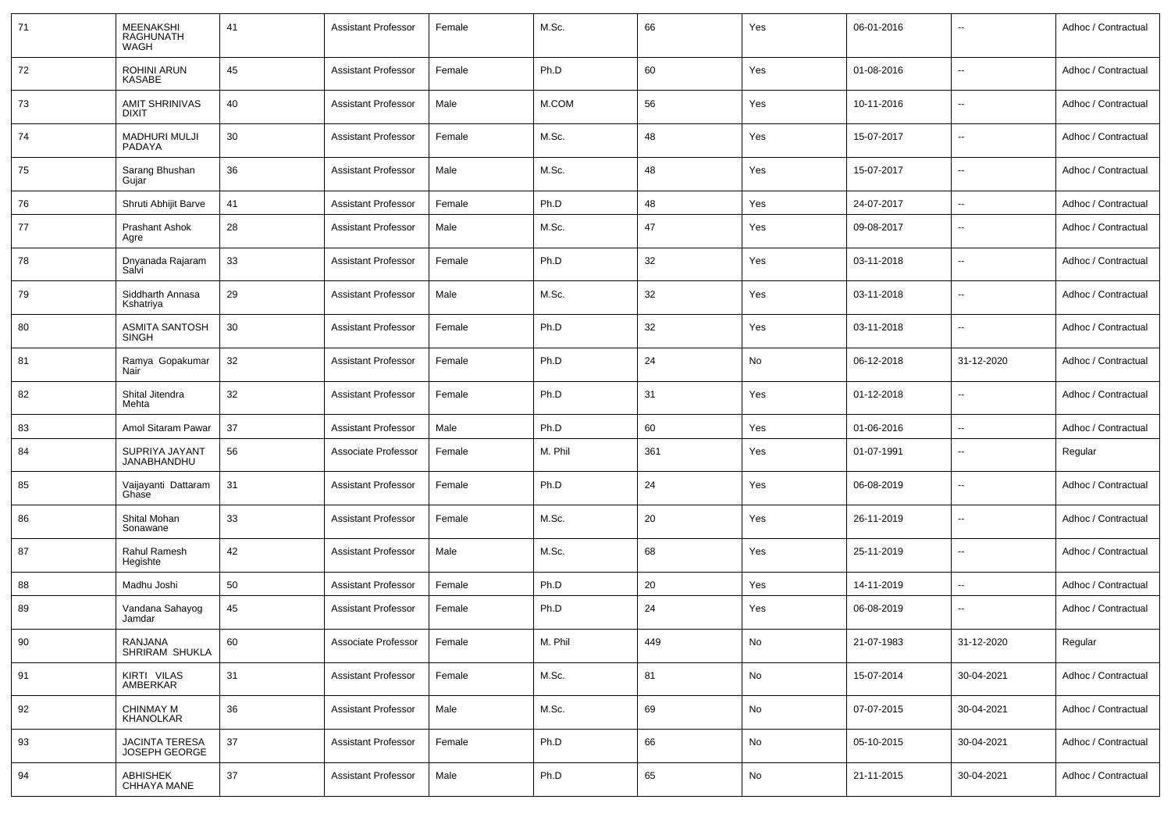| 71 | MEENAKSHI<br><b>RAGHUNATH</b><br>WAGH | 41 | <b>Assistant Professor</b> | Female | M.Sc.   | 66  | Yes | 06-01-2016 | $\overline{\phantom{a}}$ | Adhoc / Contractual |
|----|---------------------------------------|----|----------------------------|--------|---------|-----|-----|------------|--------------------------|---------------------|
| 72 | <b>ROHINI ARUN</b><br>KASABE          | 45 | <b>Assistant Professor</b> | Female | Ph.D    | 60  | Yes | 01-08-2016 | $\overline{\phantom{a}}$ | Adhoc / Contractual |
| 73 | <b>AMIT SHRINIVAS</b><br><b>DIXIT</b> | 40 | <b>Assistant Professor</b> | Male   | M.COM   | 56  | Yes | 10-11-2016 | $\overline{\phantom{a}}$ | Adhoc / Contractual |
| 74 | <b>MADHURI MULJI</b><br>PADAYA        | 30 | <b>Assistant Professor</b> | Female | M.Sc.   | 48  | Yes | 15-07-2017 | $\overline{\phantom{a}}$ | Adhoc / Contractual |
| 75 | Sarang Bhushan<br>Gujar               | 36 | <b>Assistant Professor</b> | Male   | M.Sc.   | 48  | Yes | 15-07-2017 | ц.                       | Adhoc / Contractual |
| 76 | Shruti Abhijit Barve                  | 41 | <b>Assistant Professor</b> | Female | Ph.D    | 48  | Yes | 24-07-2017 | $\overline{a}$           | Adhoc / Contractual |
| 77 | <b>Prashant Ashok</b><br>Agre         | 28 | <b>Assistant Professor</b> | Male   | M.Sc.   | 47  | Yes | 09-08-2017 | --                       | Adhoc / Contractual |
| 78 | Dnyanada Rajaram<br>Salvi             | 33 | <b>Assistant Professor</b> | Female | Ph.D    | 32  | Yes | 03-11-2018 | ⊷.                       | Adhoc / Contractual |
| 79 | Siddharth Annasa<br>Kshatriya         | 29 | <b>Assistant Professor</b> | Male   | M.Sc.   | 32  | Yes | 03-11-2018 | --                       | Adhoc / Contractual |
| 80 | ASMITA SANTOSH<br><b>SINGH</b>        | 30 | <b>Assistant Professor</b> | Female | Ph.D    | 32  | Yes | 03-11-2018 | --                       | Adhoc / Contractual |
| 81 | Ramya Gopakumar<br>Nair               | 32 | <b>Assistant Professor</b> | Female | Ph.D    | 24  | No  | 06-12-2018 | 31-12-2020               | Adhoc / Contractual |
| 82 | Shital Jitendra<br>Mehta              | 32 | <b>Assistant Professor</b> | Female | Ph.D    | 31  | Yes | 01-12-2018 | --                       | Adhoc / Contractual |
| 83 | Amol Sitaram Pawar                    | 37 | <b>Assistant Professor</b> | Male   | Ph.D    | 60  | Yes | 01-06-2016 | --                       | Adhoc / Contractual |
| 84 | SUPRIYA JAYANT<br>JANABHANDHU         | 56 | Associate Professor        | Female | M. Phil | 361 | Yes | 01-07-1991 | $\overline{\phantom{a}}$ | Regular             |
| 85 | Vaijayanti Dattaram<br>Ghase          | 31 | <b>Assistant Professor</b> | Female | Ph.D    | 24  | Yes | 06-08-2019 | --                       | Adhoc / Contractual |
| 86 | Shital Mohan<br>Sonawane              | 33 | <b>Assistant Professor</b> | Female | M.Sc.   | 20  | Yes | 26-11-2019 | --                       | Adhoc / Contractual |
| 87 | Rahul Ramesh<br>Hegishte              | 42 | <b>Assistant Professor</b> | Male   | M.Sc.   | 68  | Yes | 25-11-2019 | $\overline{\phantom{a}}$ | Adhoc / Contractual |
| 88 | Madhu Joshi                           | 50 | <b>Assistant Professor</b> | Female | Ph.D    | 20  | Yes | 14-11-2019 | $\overline{\phantom{a}}$ | Adhoc / Contractual |
| 89 | Vandana Sahayog<br>Jamdar             | 45 | <b>Assistant Professor</b> | Female | Ph.D    | 24  | Yes | 06-08-2019 | --                       | Adhoc / Contractual |
| 90 | RANJANA<br>SHRIRAM SHUKLA             | 60 | Associate Professor        | Female | M. Phil | 449 | No  | 21-07-1983 | 31-12-2020               | Regular             |
| 91 | KIRTI VILAS<br>AMBERKAR               | 31 | <b>Assistant Professor</b> | Female | M.Sc.   | 81  | No  | 15-07-2014 | 30-04-2021               | Adhoc / Contractual |
| 92 | <b>CHINMAY M</b><br>KHANOLKAR         | 36 | <b>Assistant Professor</b> | Male   | M.Sc.   | 69  | No  | 07-07-2015 | 30-04-2021               | Adhoc / Contractual |
| 93 | JACINTA TERESA<br>JOSEPH GEORGE       | 37 | <b>Assistant Professor</b> | Female | Ph.D    | 66  | No  | 05-10-2015 | 30-04-2021               | Adhoc / Contractual |
| 94 | <b>ABHISHEK</b><br>CHHAYA MANE        | 37 | <b>Assistant Professor</b> | Male   | Ph.D    | 65  | No  | 21-11-2015 | 30-04-2021               | Adhoc / Contractual |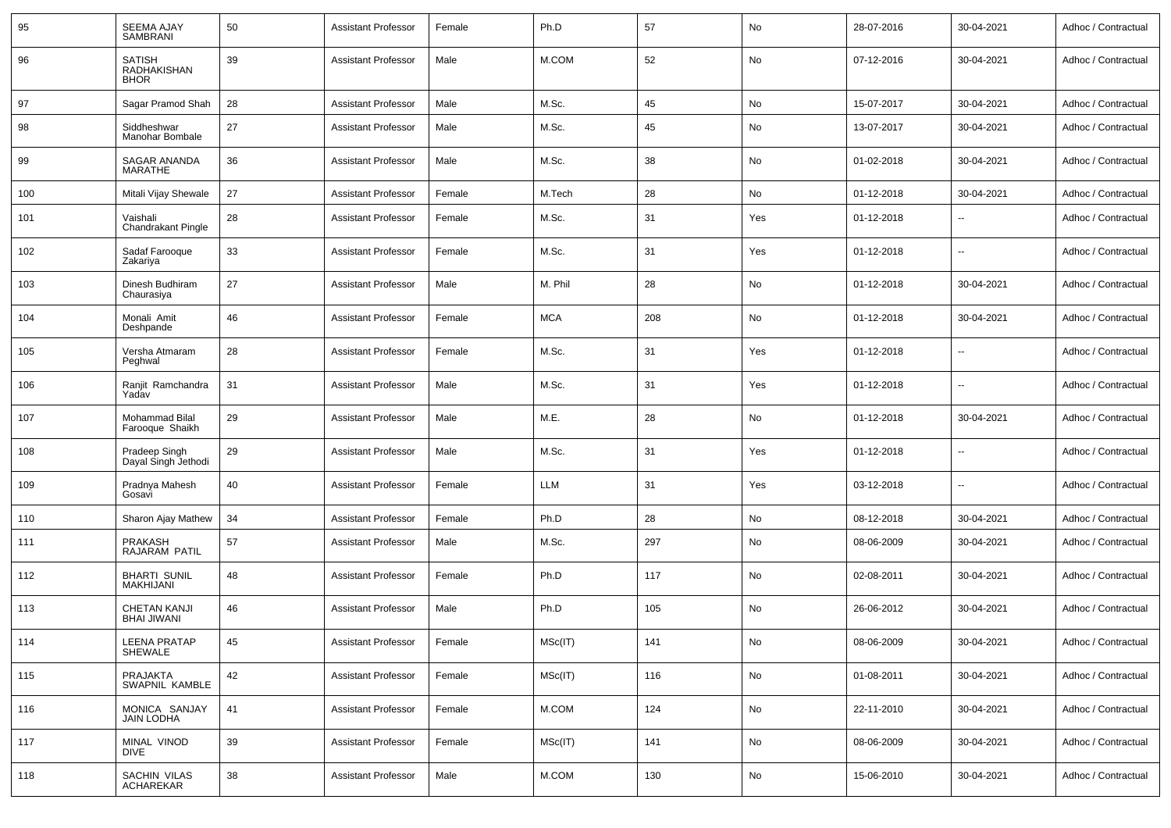| 95  | <b>SEEMA AJAY</b><br><b>SAMBRANI</b>        | 50 | <b>Assistant Professor</b> | Female | Ph.D       | 57  | No  | 28-07-2016 | 30-04-2021 | Adhoc / Contractual |
|-----|---------------------------------------------|----|----------------------------|--------|------------|-----|-----|------------|------------|---------------------|
| 96  | <b>SATISH</b><br>RADHAKISHAN<br><b>BHOR</b> | 39 | <b>Assistant Professor</b> | Male   | M.COM      | 52  | No  | 07-12-2016 | 30-04-2021 | Adhoc / Contractual |
| 97  | Sagar Pramod Shah                           | 28 | <b>Assistant Professor</b> | Male   | M.Sc.      | 45  | No  | 15-07-2017 | 30-04-2021 | Adhoc / Contractual |
| 98  | Siddheshwar<br>Manohar Bombale              | 27 | <b>Assistant Professor</b> | Male   | M.Sc.      | 45  | No  | 13-07-2017 | 30-04-2021 | Adhoc / Contractual |
| 99  | SAGAR ANANDA<br><b>MARATHE</b>              | 36 | <b>Assistant Professor</b> | Male   | M.Sc.      | 38  | No  | 01-02-2018 | 30-04-2021 | Adhoc / Contractual |
| 100 | Mitali Vijay Shewale                        | 27 | <b>Assistant Professor</b> | Female | M.Tech     | 28  | No  | 01-12-2018 | 30-04-2021 | Adhoc / Contractual |
| 101 | Vaishali<br>Chandrakant Pingle              | 28 | <b>Assistant Professor</b> | Female | M.Sc.      | 31  | Yes | 01-12-2018 |            | Adhoc / Contractual |
| 102 | Sadaf Farooque<br>Zakariya                  | 33 | <b>Assistant Professor</b> | Female | M.Sc.      | 31  | Yes | 01-12-2018 | --         | Adhoc / Contractual |
| 103 | Dinesh Budhiram<br>Chaurasiya               | 27 | <b>Assistant Professor</b> | Male   | M. Phil    | 28  | No  | 01-12-2018 | 30-04-2021 | Adhoc / Contractual |
| 104 | Monali Amit<br>Deshpande                    | 46 | <b>Assistant Professor</b> | Female | <b>MCA</b> | 208 | No  | 01-12-2018 | 30-04-2021 | Adhoc / Contractual |
| 105 | Versha Atmaram<br>Peghwal                   | 28 | <b>Assistant Professor</b> | Female | M.Sc.      | 31  | Yes | 01-12-2018 | --         | Adhoc / Contractual |
| 106 | Ranjit Ramchandra<br>Yadav                  | 31 | <b>Assistant Professor</b> | Male   | M.Sc.      | 31  | Yes | 01-12-2018 |            | Adhoc / Contractual |
| 107 | Mohammad Bilal<br>Farooque Shaikh           | 29 | <b>Assistant Professor</b> | Male   | M.E.       | 28  | No  | 01-12-2018 | 30-04-2021 | Adhoc / Contractual |
| 108 | Pradeep Singh<br>Dayal Singh Jethodi        | 29 | <b>Assistant Professor</b> | Male   | M.Sc.      | 31  | Yes | 01-12-2018 | --         | Adhoc / Contractual |
| 109 | Pradnya Mahesh<br>Gosavi                    | 40 | <b>Assistant Professor</b> | Female | LLM        | 31  | Yes | 03-12-2018 | --         | Adhoc / Contractual |
| 110 | Sharon Ajay Mathew                          | 34 | <b>Assistant Professor</b> | Female | Ph.D       | 28  | No  | 08-12-2018 | 30-04-2021 | Adhoc / Contractual |
| 111 | PRAKASH<br>RAJARAM PATIL                    | 57 | <b>Assistant Professor</b> | Male   | M.Sc.      | 297 | No  | 08-06-2009 | 30-04-2021 | Adhoc / Contractual |
| 112 | <b>BHARTI SUNIL</b><br><b>MAKHIJANI</b>     | 48 | <b>Assistant Professor</b> | Female | Ph.D       | 117 | No  | 02-08-2011 | 30-04-2021 | Adhoc / Contractual |
| 113 | <b>CHETAN KANJI</b><br><b>BHAI JIWANI</b>   | 46 | <b>Assistant Professor</b> | Male   | Ph.D       | 105 | No  | 26-06-2012 | 30-04-2021 | Adhoc / Contractual |
| 114 | LEENA PRATAP<br><b>SHEWALE</b>              | 45 | <b>Assistant Professor</b> | Female | MSc(IT)    | 141 | No  | 08-06-2009 | 30-04-2021 | Adhoc / Contractual |
| 115 | PRAJAKTA<br>SWAPNIL KAMBLE                  | 42 | <b>Assistant Professor</b> | Female | MSc(IT)    | 116 | No  | 01-08-2011 | 30-04-2021 | Adhoc / Contractual |
| 116 | MONICA SANJAY<br><b>JAIN LODHA</b>          | 41 | <b>Assistant Professor</b> | Female | M.COM      | 124 | No  | 22-11-2010 | 30-04-2021 | Adhoc / Contractual |
| 117 | MINAL VINOD<br>DIVE                         | 39 | <b>Assistant Professor</b> | Female | MSc(IT)    | 141 | No  | 08-06-2009 | 30-04-2021 | Adhoc / Contractual |
| 118 | SACHIN VILAS<br><b>ACHAREKAR</b>            | 38 | <b>Assistant Professor</b> | Male   | M.COM      | 130 | No  | 15-06-2010 | 30-04-2021 | Adhoc / Contractual |